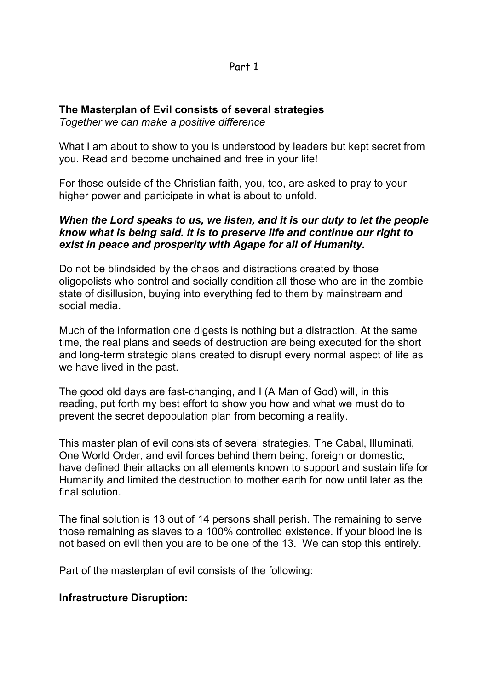## **The Masterplan of Evil consists of several strategies**

*Together we can make a positive difference*

What I am about to show to you is understood by leaders but kept secret from you. Read and become unchained and free in your life!

For those outside of the Christian faith, you, too, are asked to pray to your higher power and participate in what is about to unfold.

#### *When the Lord speaks to us, we listen, and it is our duty to let the people know what is being said. It is to preserve life and continue our right to exist in peace and prosperity with Agape for all of Humanity.*

Do not be blindsided by the chaos and distractions created by those oligopolists who control and socially condition all those who are in the zombie state of disillusion, buying into everything fed to them by mainstream and social media.

Much of the information one digests is nothing but a distraction. At the same time, the real plans and seeds of destruction are being executed for the short and long-term strategic plans created to disrupt every normal aspect of life as we have lived in the past.

The good old days are fast-changing, and I (A Man of God) will, in this reading, put forth my best effort to show you how and what we must do to prevent the secret depopulation plan from becoming a reality.

This master plan of evil consists of several strategies. The Cabal, Illuminati, One World Order, and evil forces behind them being, foreign or domestic, have defined their attacks on all elements known to support and sustain life for Humanity and limited the destruction to mother earth for now until later as the final solution.

The final solution is 13 out of 14 persons shall perish. The remaining to serve those remaining as slaves to a 100% controlled existence. If your bloodline is not based on evil then you are to be one of the 13. We can stop this entirely.

Part of the masterplan of evil consists of the following:

#### **Infrastructure Disruption:**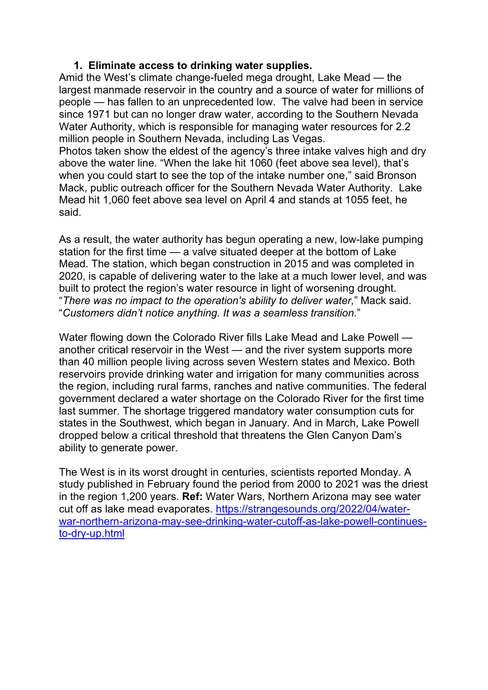## **1. Eliminate access to drinking water supplies.**

Amid the West's climate change-fueled mega drought, Lake Mead — the largest manmade reservoir in the country and a source of water for millions of people — has fallen to an unprecedented low. The valve had been in service since 1971 but can no longer draw water, according to the Southern Nevada Water Authority, which is responsible for managing water resources for 2.2 million people in Southern Nevada, including Las Vegas.

Photos taken show the eldest of the agency's three intake valves high and dry above the water line. "When the lake hit 1060 (feet above sea level), that's when you could start to see the top of the intake number one," said Bronson Mack, public outreach officer for the Southern Nevada Water Authority. Lake Mead hit 1,060 feet above sea level on April 4 and stands at 1055 feet, he said.

As a result, the water authority has begun operating a new, low-lake pumping station for the first time — a valve situated deeper at the bottom of Lake Mead. The station, which began construction in 2015 and was completed in 2020, is capable of delivering water to the lake at a much lower level, and was built to protect the region's water resource in light of worsening drought. "*There was no impact to the operation's ability to deliver water,*" Mack said. "*Customers didn't notice anything. It was a seamless transition.*"

Water flowing down the Colorado River fills Lake Mead and Lake Powell another critical reservoir in the West — and the river system supports more than 40 million people living across seven Western states and Mexico. Both reservoirs provide drinking water and irrigation for many communities across the region, including rural farms, ranches and native communities. The federal government declared a water shortage on the Colorado River for the first time last summer. The shortage triggered mandatory water consumption cuts for states in the Southwest, which began in January. And in March, Lake Powell dropped below a critical threshold that threatens the Glen Canyon Dam's ability to generate power.

The West is in its worst drought in centuries, scientists reported Monday. A study published in February found the period from 2000 to 2021 was the driest in the region 1,200 years. **Ref:** Water Wars, Northern Arizona may see water cut off as lake mead evaporates. [https://strangesounds.org/2022/04/water](https://strangesounds.org/2022/04/water-war-northern-arizona-may-see-drinking-water-cutoff-as-lake-powell-continues-to-dry-up.html)[war-northern-arizona-may-see-drinking-water-cutoff-as-lake-powell-continues](https://strangesounds.org/2022/04/water-war-northern-arizona-may-see-drinking-water-cutoff-as-lake-powell-continues-to-dry-up.html)[to-dry-up.html](https://strangesounds.org/2022/04/water-war-northern-arizona-may-see-drinking-water-cutoff-as-lake-powell-continues-to-dry-up.html)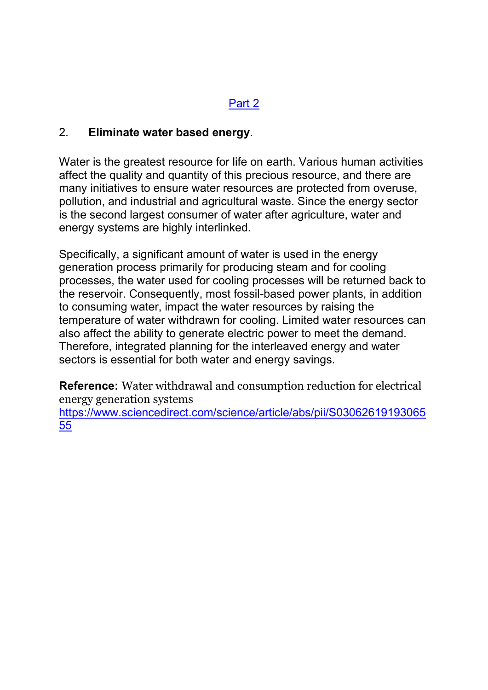# 2. **Eliminate water based energy**.

Water is the greatest resource for life on earth. Various human activities affect the quality and quantity of this precious resource, and there are many initiatives to ensure water resources are protected from overuse, pollution, and industrial and agricultural waste. Since the energy sector is the second largest consumer of water after agriculture, water and energy systems are highly interlinked.

Specifically, a significant amount of water is used in the energy generation process primarily for producing steam and for cooling processes, the water used for cooling processes will be returned back to the reservoir. Consequently, most fossil-based power plants, in addition to consuming water, impact the water resources by raising the temperature of water withdrawn for cooling. Limited water resources can also affect the ability to generate electric power to meet the demand. Therefore, integrated planning for the interleaved energy and water sectors is essential for both water and energy savings.

**Reference:** Water withdrawal and consumption reduction for electrical energy generation systems

[https://www.sciencedirect.com/science/article/abs/pii/S03062619193065](https://www.sciencedirect.com/science/article/abs/pii/S0306261919306555) [55](https://www.sciencedirect.com/science/article/abs/pii/S0306261919306555)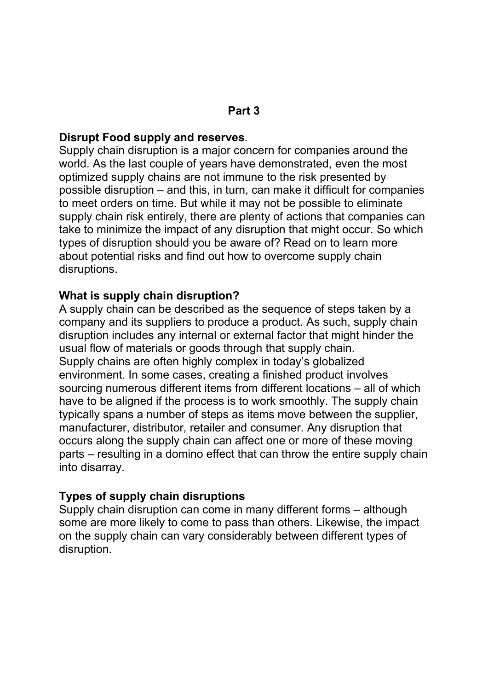# **Disrupt Food supply and reserves**.

Supply chain disruption is a major concern for companies around the world. As the last couple of years have demonstrated, even the most optimized supply chains are not immune to the risk presented by possible disruption – and this, in turn, can make it difficult for companies to meet orders on time. But while it may not be possible to eliminate supply chain risk entirely, there are plenty of actions that companies can take to minimize the impact of any disruption that might occur. So which types of disruption should you be aware of? Read on to learn more about potential risks and find out how to overcome supply chain disruptions.

# **What is supply chain disruption?**

A supply chain can be described as the sequence of steps taken by a company and its suppliers to produce a product. As such, supply chain disruption includes any internal or external factor that might hinder the usual flow of materials or goods through that supply chain. Supply chains are often highly complex in today's globalized environment. In some cases, creating a finished product involves sourcing numerous different items from different locations – all of which have to be aligned if the process is to work smoothly. The supply chain typically spans a number of steps as items move between the supplier, manufacturer, distributor, retailer and consumer. Any disruption that occurs along the supply chain can affect one or more of these moving parts – resulting in a domino effect that can throw the entire supply chain into disarray.

# **Types of supply chain disruptions**

Supply chain disruption can come in many different forms – although some are more likely to come to pass than others. Likewise, the impact on the supply chain can vary considerably between different types of disruption.